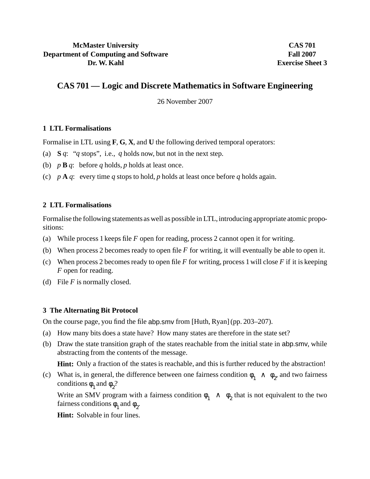# **CAS 701 — Logic and Discrete Mathematics in Software Engineering**

26 November 2007

### **1 LTL Formalisations**

Formalise in LTL using **F**, **G**, **X**, and **U** the following derived temporal operators:

- (a) **S** *q*: "*q* stops", i.e., *q* holds now, but not in the next step.
- (b) *p* **B** *q*: before *q* holds, *p* holds at least once.
- (c)  $p \mathbf{A} q$ : every time *q* stops to hold, *p* holds at least once before *q* holds again.

### **2 LTL Formalisations**

Formalise the following statements as well as possible in LTL, introducing appropriate atomic propositions:

- (a) While process 1 keeps file *F* open for reading, process 2 cannot open it for writing.
- (b) When process 2 becomes ready to open file *F* for writing, it will eventually be able to open it.
- (c) When process 2 becomes ready to open file *F* for writing, process 1 will close *F* if it is keeping *F* open for reading.
- (d) File *F* is normally closed.

#### **3 The Alternating Bit Protocol**

On the course page, you find the file abp.smv from [Huth, Ryan] (pp. 203–207).

- (a) How many bits does a state have? How many states are therefore in the state set?
- (b) Draw the state transition graph of the states reachable from the initial state in abp.smv, while abstracting from the contents of the message.

**Hint:** Only a fraction of the states is reachable, and this is further reduced by the abstraction!

(c) What is, in general, the difference between one fairness condition  $\phi_1 \wedge \phi_2$ , and two fairness conditions  $\phi_1$  and  $\phi_2$ ?

Write an SMV program with a fairness condition  $\phi_1 \wedge \phi_2$  that is not equivalent to the two fairness conditions  $\phi_1$  and  $\phi_2$ .

**Hint:** Solvable in four lines.